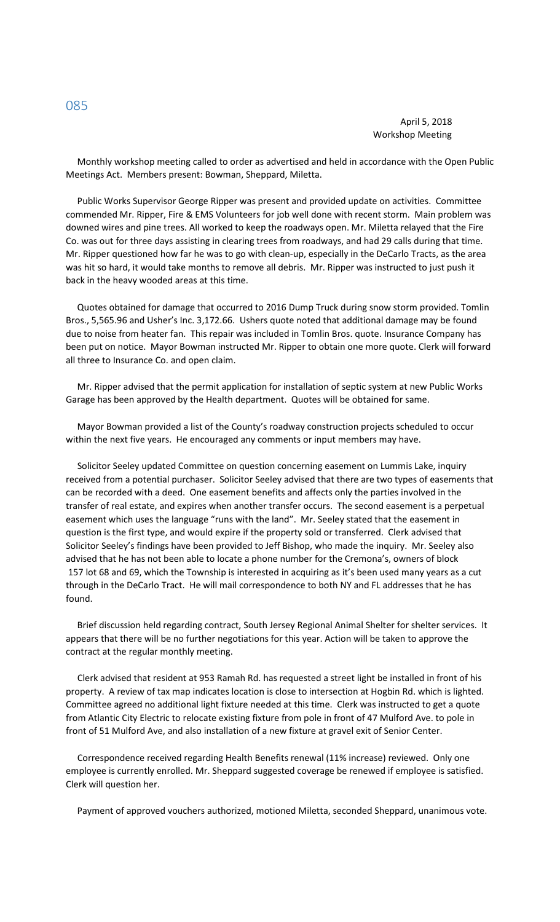## April 5, 2018 Workshop Meeting

 Monthly workshop meeting called to order as advertised and held in accordance with the Open Public Meetings Act. Members present: Bowman, Sheppard, Miletta.

 Public Works Supervisor George Ripper was present and provided update on activities. Committee commended Mr. Ripper, Fire & EMS Volunteers for job well done with recent storm. Main problem was downed wires and pine trees. All worked to keep the roadways open. Mr. Miletta relayed that the Fire Co. was out for three days assisting in clearing trees from roadways, and had 29 calls during that time. Mr. Ripper questioned how far he was to go with clean-up, especially in the DeCarlo Tracts, as the area was hit so hard, it would take months to remove all debris. Mr. Ripper was instructed to just push it back in the heavy wooded areas at this time.

 Quotes obtained for damage that occurred to 2016 Dump Truck during snow storm provided. Tomlin Bros., 5,565.96 and Usher's Inc. 3,172.66. Ushers quote noted that additional damage may be found due to noise from heater fan. This repair was included in Tomlin Bros. quote. Insurance Company has been put on notice. Mayor Bowman instructed Mr. Ripper to obtain one more quote. Clerk will forward all three to Insurance Co. and open claim.

 Mr. Ripper advised that the permit application for installation of septic system at new Public Works Garage has been approved by the Health department. Quotes will be obtained for same.

 Mayor Bowman provided a list of the County's roadway construction projects scheduled to occur within the next five years. He encouraged any comments or input members may have.

 Solicitor Seeley updated Committee on question concerning easement on Lummis Lake, inquiry received from a potential purchaser. Solicitor Seeley advised that there are two types of easements that can be recorded with a deed. One easement benefits and affects only the parties involved in the transfer of real estate, and expires when another transfer occurs. The second easement is a perpetual easement which uses the language "runs with the land". Mr. Seeley stated that the easement in question is the first type, and would expire if the property sold or transferred. Clerk advised that Solicitor Seeley's findings have been provided to Jeff Bishop, who made the inquiry. Mr. Seeley also advised that he has not been able to locate a phone number for the Cremona's, owners of block 157 lot 68 and 69, which the Township is interested in acquiring as it's been used many years as a cut through in the DeCarlo Tract. He will mail correspondence to both NY and FL addresses that he has found.

 Brief discussion held regarding contract, South Jersey Regional Animal Shelter for shelter services. It appears that there will be no further negotiations for this year. Action will be taken to approve the contract at the regular monthly meeting.

 Clerk advised that resident at 953 Ramah Rd. has requested a street light be installed in front of his property. A review of tax map indicates location is close to intersection at Hogbin Rd. which is lighted. Committee agreed no additional light fixture needed at this time. Clerk was instructed to get a quote from Atlantic City Electric to relocate existing fixture from pole in front of 47 Mulford Ave. to pole in front of 51 Mulford Ave, and also installation of a new fixture at gravel exit of Senior Center.

 Correspondence received regarding Health Benefits renewal (11% increase) reviewed. Only one employee is currently enrolled. Mr. Sheppard suggested coverage be renewed if employee is satisfied. Clerk will question her.

Payment of approved vouchers authorized, motioned Miletta, seconded Sheppard, unanimous vote.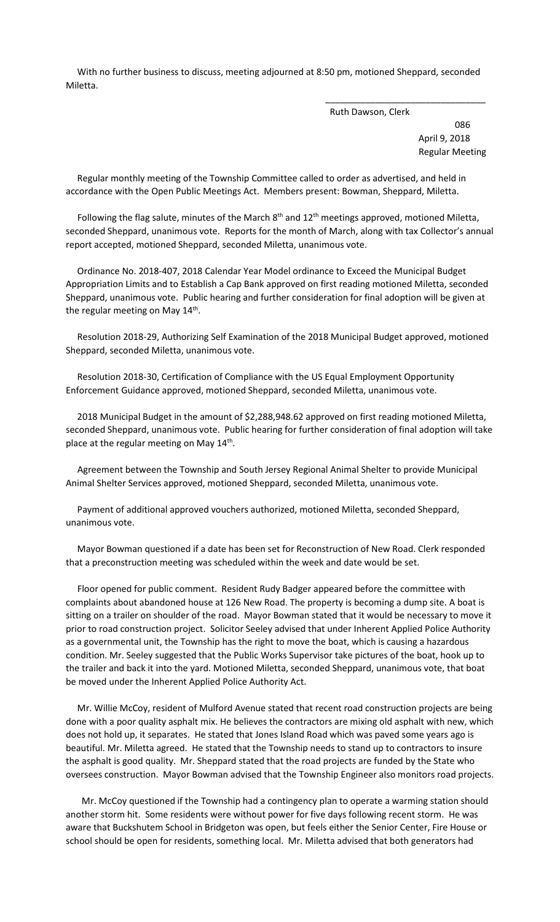With no further business to discuss, meeting adjourned at 8:50 pm, motioned Sheppard, seconded Miletta.

 $\overline{\phantom{a}}$  , and the contract of the contract of the contract of the contract of the contract of the contract of the contract of the contract of the contract of the contract of the contract of the contract of the contrac

Ruth Dawson, Clerk

 086 April 9, 2018 Regular Meeting

 Regular monthly meeting of the Township Committee called to order as advertised, and held in accordance with the Open Public Meetings Act. Members present: Bowman, Sheppard, Miletta.

Following the flag salute, minutes of the March  $8<sup>th</sup>$  and  $12<sup>th</sup>$  meetings approved, motioned Miletta, seconded Sheppard, unanimous vote. Reports for the month of March, along with tax Collector's annual report accepted, motioned Sheppard, seconded Miletta, unanimous vote.

 Ordinance No. 2018-407, 2018 Calendar Year Model ordinance to Exceed the Municipal Budget Appropriation Limits and to Establish a Cap Bank approved on first reading motioned Miletta, seconded Sheppard, unanimous vote. Public hearing and further consideration for final adoption will be given at the regular meeting on May 14<sup>th</sup>.

 Resolution 2018-29, Authorizing Self Examination of the 2018 Municipal Budget approved, motioned Sheppard, seconded Miletta, unanimous vote.

 Resolution 2018-30, Certification of Compliance with the US Equal Employment Opportunity Enforcement Guidance approved, motioned Sheppard, seconded Miletta, unanimous vote.

 2018 Municipal Budget in the amount of \$2,288,948.62 approved on first reading motioned Miletta, seconded Sheppard, unanimous vote. Public hearing for further consideration of final adoption will take place at the regular meeting on May 14<sup>th</sup>.

 Agreement between the Township and South Jersey Regional Animal Shelter to provide Municipal Animal Shelter Services approved, motioned Sheppard, seconded Miletta, unanimous vote.

 Payment of additional approved vouchers authorized, motioned Miletta, seconded Sheppard, unanimous vote.

 Mayor Bowman questioned if a date has been set for Reconstruction of New Road. Clerk responded that a preconstruction meeting was scheduled within the week and date would be set.

 Floor opened for public comment. Resident Rudy Badger appeared before the committee with complaints about abandoned house at 126 New Road. The property is becoming a dump site. A boat is sitting on a trailer on shoulder of the road. Mayor Bowman stated that it would be necessary to move it prior to road construction project. Solicitor Seeley advised that under Inherent Applied Police Authority as a governmental unit, the Township has the right to move the boat, which is causing a hazardous condition. Mr. Seeley suggested that the Public Works Supervisor take pictures of the boat, hook up to the trailer and back it into the yard. Motioned Miletta, seconded Sheppard, unanimous vote, that boat be moved under the Inherent Applied Police Authority Act.

 Mr. Willie McCoy, resident of Mulford Avenue stated that recent road construction projects are being done with a poor quality asphalt mix. He believes the contractors are mixing old asphalt with new, which does not hold up, it separates. He stated that Jones Island Road which was paved some years ago is beautiful. Mr. Miletta agreed. He stated that the Township needs to stand up to contractors to insure the asphalt is good quality. Mr. Sheppard stated that the road projects are funded by the State who oversees construction. Mayor Bowman advised that the Township Engineer also monitors road projects.

 Mr. McCoy questioned if the Township had a contingency plan to operate a warming station should another storm hit. Some residents were without power for five days following recent storm. He was aware that Buckshutem School in Bridgeton was open, but feels either the Senior Center, Fire House or school should be open for residents, something local. Mr. Miletta advised that both generators had